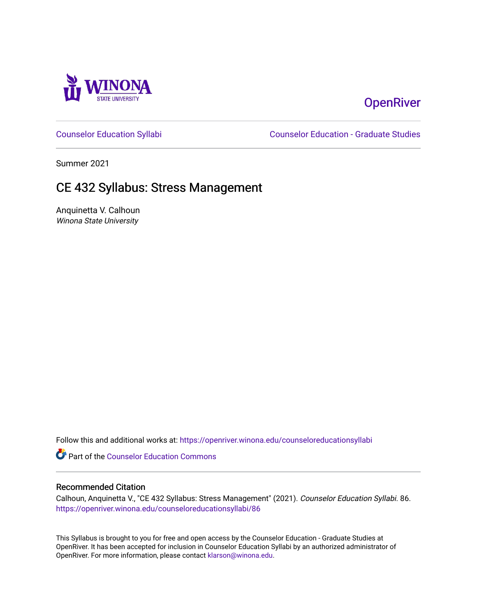

# **OpenRiver**

[Counselor Education Syllabi](https://openriver.winona.edu/counseloreducationsyllabi) [Counselor Education - Graduate Studies](https://openriver.winona.edu/counseloreducation) 

Summer 2021

# CE 432 Syllabus: Stress Management

Anquinetta V. Calhoun Winona State University

Follow this and additional works at: [https://openriver.winona.edu/counseloreducationsyllabi](https://openriver.winona.edu/counseloreducationsyllabi?utm_source=openriver.winona.edu%2Fcounseloreducationsyllabi%2F86&utm_medium=PDF&utm_campaign=PDFCoverPages)

Part of the [Counselor Education Commons](http://network.bepress.com/hgg/discipline/1278?utm_source=openriver.winona.edu%2Fcounseloreducationsyllabi%2F86&utm_medium=PDF&utm_campaign=PDFCoverPages) 

#### Recommended Citation

Calhoun, Anquinetta V., "CE 432 Syllabus: Stress Management" (2021). Counselor Education Syllabi. 86. [https://openriver.winona.edu/counseloreducationsyllabi/86](https://openriver.winona.edu/counseloreducationsyllabi/86?utm_source=openriver.winona.edu%2Fcounseloreducationsyllabi%2F86&utm_medium=PDF&utm_campaign=PDFCoverPages) 

This Syllabus is brought to you for free and open access by the Counselor Education - Graduate Studies at OpenRiver. It has been accepted for inclusion in Counselor Education Syllabi by an authorized administrator of OpenRiver. For more information, please contact [klarson@winona.edu](mailto:klarson@winona.edu).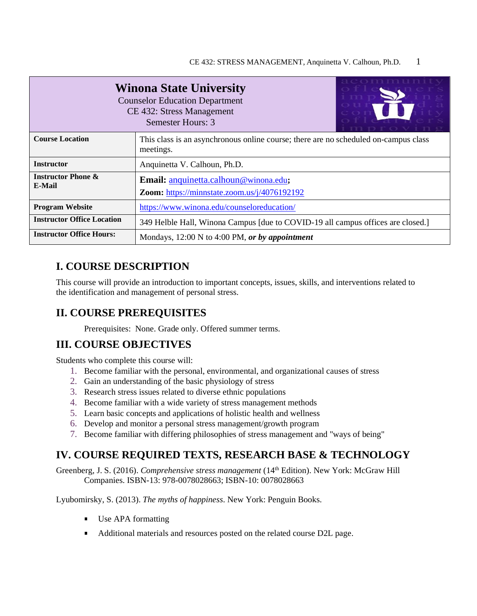| זורונו רוברוב<br><b>Winona State University</b><br><b>Counselor Education Department</b><br>CE 432: Stress Management<br>Semester Hours: 3 |                                                                                                  |  |
|--------------------------------------------------------------------------------------------------------------------------------------------|--------------------------------------------------------------------------------------------------|--|
| <b>Course Location</b>                                                                                                                     | This class is an asynchronous online course; there are no scheduled on-campus class<br>meetings. |  |
| <b>Instructor</b>                                                                                                                          | Anquinetta V. Calhoun, Ph.D.                                                                     |  |
| <b>Instructor Phone &amp;</b><br><b>E-Mail</b>                                                                                             | Email: anquinetta.calhoun@winona.edu;<br>Zoom: https://minnstate.zoom.us/j/4076192192            |  |
| <b>Program Website</b>                                                                                                                     | https://www.winona.edu/counseloreducation/                                                       |  |
| <b>Instructor Office Location</b>                                                                                                          | 349 Helble Hall, Winona Campus [due to COVID-19 all campus offices are closed.]                  |  |
| <b>Instructor Office Hours:</b>                                                                                                            | Mondays, $12:00 \text{ N}$ to 4:00 PM, or by appointment                                         |  |

# **I. COURSE DESCRIPTION**

This course will provide an introduction to important concepts, issues, skills, and interventions related to the identification and management of personal stress.

# **II. COURSE PREREQUISITES**

Prerequisites: None. Grade only. Offered summer terms.

## **III. COURSE OBJECTIVES**

Students who complete this course will:

- 1. Become familiar with the personal, environmental, and organizational causes of stress
- 2. Gain an understanding of the basic physiology of stress
- 3. Research stress issues related to diverse ethnic populations
- 4. Become familiar with a wide variety of stress management methods
- 5. Learn basic concepts and applications of holistic health and wellness
- 6. Develop and monitor a personal stress management/growth program
- 7. Become familiar with differing philosophies of stress management and "ways of being"

# **IV. COURSE REQUIRED TEXTS, RESEARCH BASE & TECHNOLOGY**

Greenberg, J. S. (2016). *Comprehensive stress management* (14th Edition). New York: McGraw Hill Companies. ISBN-13: 978-0078028663; ISBN-10: 0078028663

Lyubomirsky, S. (2013). *The myths of happiness*. New York: Penguin Books.

- Use APA formatting
- Additional materials and resources posted on the related course D2L page.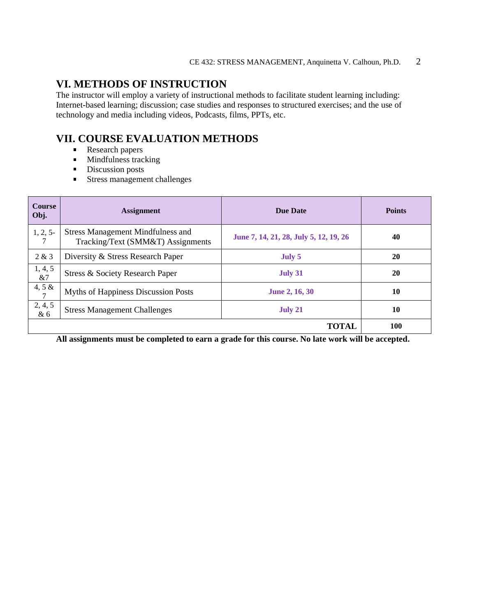## **VI. METHODS OF INSTRUCTION**

The instructor will employ a variety of instructional methods to facilitate student learning including: Internet-based learning; discussion; case studies and responses to structured exercises; and the use of technology and media including videos, Podcasts, films, PPTs, etc.

# **VII. COURSE EVALUATION METHODS**

- $\mathbf{E}^{(1)}$ Research papers
- Mindfulness tracking  $\mathbf{r}$
- Discussion posts
- **Stress management challenges**

| <b>Course</b><br>Obj.       | <b>Assignment</b>                                                             | <b>Due Date</b>                        | <b>Points</b> |
|-----------------------------|-------------------------------------------------------------------------------|----------------------------------------|---------------|
| 1, 2, 5                     | <b>Stress Management Mindfulness and</b><br>Tracking/Text (SMM&T) Assignments | June 7, 14, 21, 28, July 5, 12, 19, 26 | 40            |
| 2 & 3                       | Diversity & Stress Research Paper                                             | July 5                                 | <b>20</b>     |
| 1, 4, 5<br>&7               | Stress & Society Research Paper                                               | July 31                                | 20            |
| 4, 5 $\&$<br>$\overline{7}$ | Myths of Happiness Discussion Posts                                           | <b>June 2, 16, 30</b>                  | 10            |
| 2, 4, 5<br>&6               | <b>Stress Management Challenges</b>                                           | July 21                                | 10            |
|                             |                                                                               | <b>TOTAL</b>                           | <b>100</b>    |

**All assignments must be completed to earn a grade for this course. No late work will be accepted.**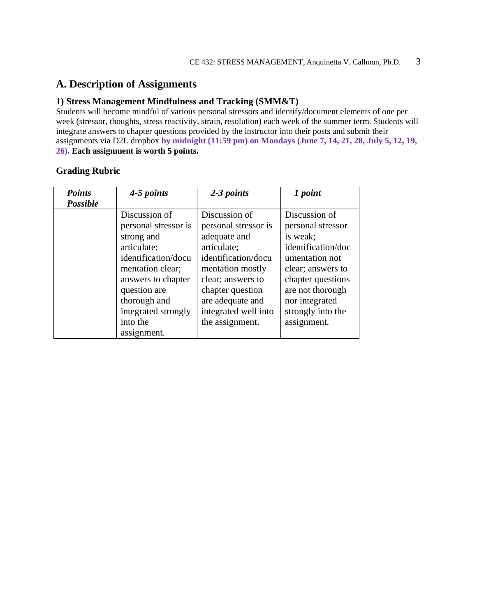## **A. Description of Assignments**

#### **1) Stress Management Mindfulness and Tracking (SMM&T)**

Students will become mindful of various personal stressors and identify/document elements of one per week (stressor, thoughts, stress reactivity, strain, resolution) each week of the summer term. Students will integrate answers to chapter questions provided by the instructor into their posts and submit their assignments via D2L dropbox **by midnight (11:59 pm) on Mondays (June 7, 14, 21, 28, July 5, 12, 19, 26). Each assignment is worth 5 points.**

| <b>Points</b>   | 4-5 points                                                                                                                                                                                 | 2-3 points                                                                                                                                                                                           | 1 point                                                                                                                                                                                     |
|-----------------|--------------------------------------------------------------------------------------------------------------------------------------------------------------------------------------------|------------------------------------------------------------------------------------------------------------------------------------------------------------------------------------------------------|---------------------------------------------------------------------------------------------------------------------------------------------------------------------------------------------|
| <b>Possible</b> |                                                                                                                                                                                            |                                                                                                                                                                                                      |                                                                                                                                                                                             |
|                 | Discussion of<br>personal stressor is<br>strong and<br>articulate;<br>identification/docu<br>mentation clear;<br>answers to chapter<br>question are<br>thorough and<br>integrated strongly | Discussion of<br>personal stressor is<br>adequate and<br>articulate;<br>identification/docu<br>mentation mostly<br>clear; answers to<br>chapter question<br>are adequate and<br>integrated well into | Discussion of<br>personal stressor<br>is weak;<br>identification/doc<br>umentation not<br>clear; answers to<br>chapter questions<br>are not thorough<br>nor integrated<br>strongly into the |
|                 | into the                                                                                                                                                                                   | the assignment.                                                                                                                                                                                      | assignment.                                                                                                                                                                                 |
|                 | assignment.                                                                                                                                                                                |                                                                                                                                                                                                      |                                                                                                                                                                                             |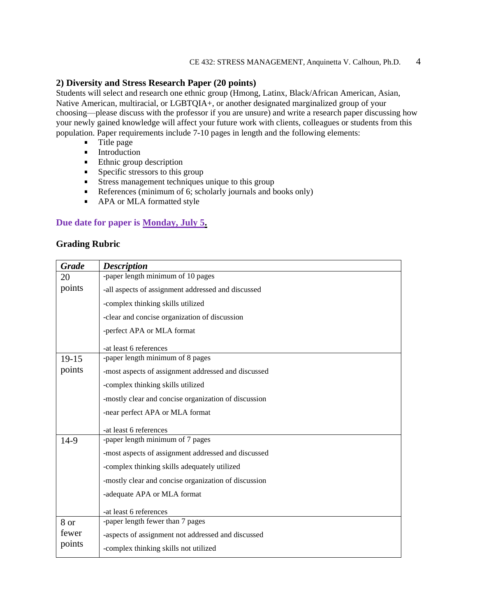### **2) Diversity and Stress Research Paper (20 points)**

Students will select and research one ethnic group (Hmong, Latinx, Black/African American, Asian, Native American, multiracial, or LGBTQIA+, or another designated marginalized group of your choosing—please discuss with the professor if you are unsure) and write a research paper discussing how your newly gained knowledge will affect your future work with clients, colleagues or students from this population. Paper requirements include 7-10 pages in length and the following elements:

- **Title page**
- **Introduction**
- Ethnic group description
- $\blacksquare$  Specific stressors to this group
- Stress management techniques unique to this group
- References (minimum of  $6$ ; scholarly journals and books only)
- **APA or MLA formatted style**

## **Due date for paper is Monday, July 5.**

| <b>Grade</b> | <b>Description</b>                                   |
|--------------|------------------------------------------------------|
| 20           | -paper length minimum of 10 pages                    |
| points       | -all aspects of assignment addressed and discussed   |
|              | -complex thinking skills utilized                    |
|              | -clear and concise organization of discussion        |
|              | -perfect APA or MLA format                           |
|              | -at least 6 references                               |
| $19-15$      | -paper length minimum of 8 pages                     |
| points       | -most aspects of assignment addressed and discussed  |
|              | -complex thinking skills utilized                    |
|              | -mostly clear and concise organization of discussion |
|              | -near perfect APA or MLA format                      |
|              | -at least 6 references                               |
| $14-9$       | -paper length minimum of 7 pages                     |
|              | -most aspects of assignment addressed and discussed  |
|              | -complex thinking skills adequately utilized         |
|              | -mostly clear and concise organization of discussion |
|              | -adequate APA or MLA format                          |
|              | -at least 6 references                               |
| 8 or         | -paper length fewer than 7 pages                     |
| fewer        | -aspects of assignment not addressed and discussed   |
| points       | -complex thinking skills not utilized                |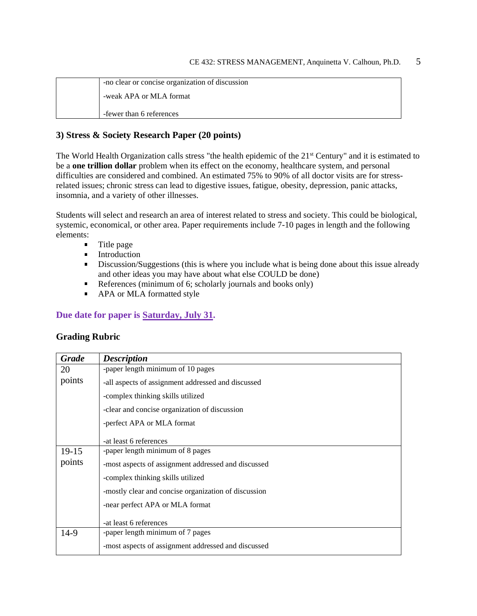-no clear or concise organization of discussion -weak APA or MLA format -fewer than 6 references

## **3) Stress & Society Research Paper (20 points)**

The World Health Organization calls stress "the health epidemic of the 21<sup>st</sup> Century" and it is estimated to be a **one trillion dollar** problem when its effect on the economy, healthcare system, and personal difficulties are considered and combined. An estimated 75% to 90% of all doctor visits are for stressrelated issues; chronic stress can lead to digestive issues, fatigue, obesity, depression, panic attacks, insomnia, and a variety of other illnesses.

Students will select and research an area of interest related to stress and society. This could be biological, systemic, economical, or other area. Paper requirements include 7-10 pages in length and the following elements:

- **Title page**
- **Introduction**
- **Discussion/Suggestions (this is where you include what is being done about this issue already** and other ideas you may have about what else COULD be done)
- References (minimum of 6; scholarly journals and books only)
- **APA or MLA formatted style**

## **Due date for paper is Saturday, July 31.**

| <b>Grade</b> | <b>Description</b>                                   |
|--------------|------------------------------------------------------|
| 20           | -paper length minimum of 10 pages                    |
| points       | -all aspects of assignment addressed and discussed   |
|              | -complex thinking skills utilized                    |
|              | -clear and concise organization of discussion        |
|              | -perfect APA or MLA format                           |
|              | -at least 6 references                               |
| $19-15$      | -paper length minimum of 8 pages                     |
| points       | -most aspects of assignment addressed and discussed  |
|              | -complex thinking skills utilized                    |
|              | -mostly clear and concise organization of discussion |
|              | -near perfect APA or MLA format                      |
|              | -at least 6 references                               |
| $14-9$       | -paper length minimum of 7 pages                     |
|              | -most aspects of assignment addressed and discussed  |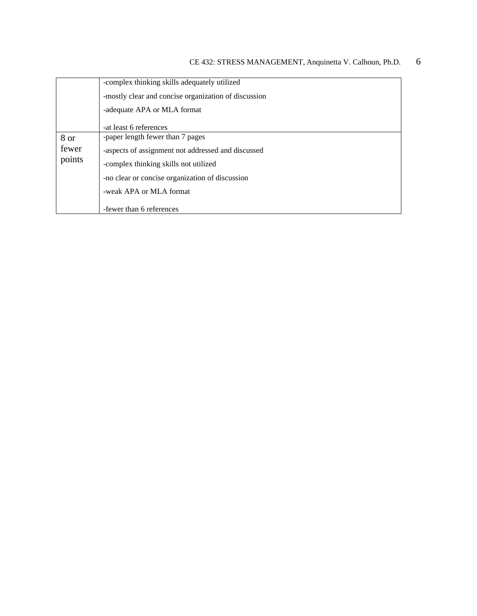|        | -complex thinking skills adequately utilized         |
|--------|------------------------------------------------------|
|        | -mostly clear and concise organization of discussion |
|        | -adequate APA or MLA format                          |
|        | -at least 6 references                               |
| 8 or   | -paper length fewer than 7 pages                     |
| fewer  | -aspects of assignment not addressed and discussed   |
| points | -complex thinking skills not utilized                |
|        | -no clear or concise organization of discussion      |
|        | -weak APA or MLA format                              |
|        | -fewer than 6 references                             |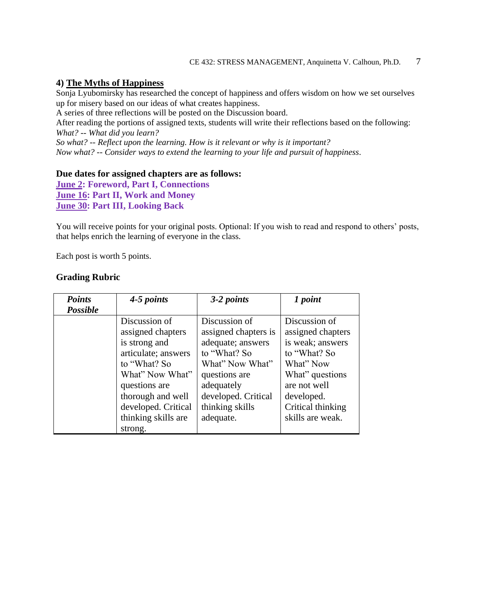## **4) The Myths of Happiness**

Sonja Lyubomirsky has researched the concept of happiness and offers wisdom on how we set ourselves up for misery based on our ideas of what creates happiness.

A series of three reflections will be posted on the Discussion board.

After reading the portions of assigned texts, students will write their reflections based on the following: *What? -- What did you learn?*

*So what? -- Reflect upon the learning. How is it relevant or why is it important? Now what? -- Consider ways to extend the learning to your life and pursuit of happiness*.

#### **Due dates for assigned chapters are as follows:**

**June 2: Foreword, Part I, Connections June 16: Part II, Work and Money June 30: Part III, Looking Back**

You will receive points for your original posts. Optional: If you wish to read and respond to others' posts, that helps enrich the learning of everyone in the class.

Each post is worth 5 points.

| <b>Points</b>   | 4-5 points                                                                                                                                                                                        | 3-2 points                                                                                                                                                                          | 1 point                                                                                                                                                                       |
|-----------------|---------------------------------------------------------------------------------------------------------------------------------------------------------------------------------------------------|-------------------------------------------------------------------------------------------------------------------------------------------------------------------------------------|-------------------------------------------------------------------------------------------------------------------------------------------------------------------------------|
| <b>Possible</b> |                                                                                                                                                                                                   |                                                                                                                                                                                     |                                                                                                                                                                               |
|                 | Discussion of<br>assigned chapters<br>is strong and<br>articulate; answers<br>to "What? So<br>What" Now What"<br>questions are<br>thorough and well<br>developed. Critical<br>thinking skills are | Discussion of<br>assigned chapters is<br>adequate; answers<br>to "What? So<br>What" Now What"<br>questions are<br>adequately<br>developed. Critical<br>thinking skills<br>adequate. | Discussion of<br>assigned chapters<br>is weak; answers<br>to "What? So<br>What" Now<br>What" questions<br>are not well<br>developed.<br>Critical thinking<br>skills are weak. |
|                 | strong.                                                                                                                                                                                           |                                                                                                                                                                                     |                                                                                                                                                                               |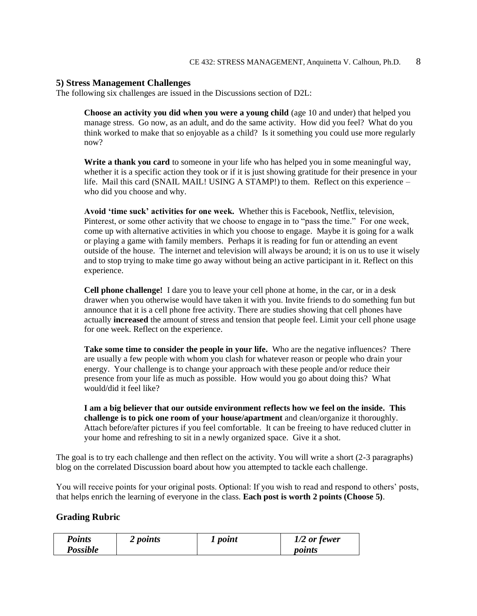#### **5) Stress Management Challenges**

The following six challenges are issued in the Discussions section of D2L:

**Choose an activity you did when you were a young child** (age 10 and under) that helped you manage stress. Go now, as an adult, and do the same activity. How did you feel? What do you think worked to make that so enjoyable as a child? Is it something you could use more regularly now?

**Write a thank you card** to someone in your life who has helped you in some meaningful way, whether it is a specific action they took or if it is just showing gratitude for their presence in your life. Mail this card (SNAIL MAIL! USING A STAMP!) to them. Reflect on this experience – who did you choose and why.

**Avoid 'time suck' activities for one week.** Whether this is Facebook, Netflix, television, Pinterest, or some other activity that we choose to engage in to "pass the time." For one week, come up with alternative activities in which you choose to engage. Maybe it is going for a walk or playing a game with family members. Perhaps it is reading for fun or attending an event outside of the house. The internet and television will always be around; it is on us to use it wisely and to stop trying to make time go away without being an active participant in it. Reflect on this experience.

**Cell phone challenge!** I dare you to leave your cell phone at home, in the car, or in a desk drawer when you otherwise would have taken it with you. Invite friends to do something fun but announce that it is a cell phone free activity. There are studies showing that cell phones have actually **increased** the amount of stress and tension that people feel. Limit your cell phone usage for one week. Reflect on the experience.

**Take some time to consider the people in your life.** Who are the negative influences? There are usually a few people with whom you clash for whatever reason or people who drain your energy. Your challenge is to change your approach with these people and/or reduce their presence from your life as much as possible. How would you go about doing this? What would/did it feel like?

**I am a big believer that our outside environment reflects how we feel on the inside. This challenge is to pick one room of your house/apartment** and clean/organize it thoroughly. Attach before/after pictures if you feel comfortable. It can be freeing to have reduced clutter in your home and refreshing to sit in a newly organized space. Give it a shot.

The goal is to try each challenge and then reflect on the activity. You will write a short (2-3 paragraphs) blog on the correlated Discussion board about how you attempted to tackle each challenge.

You will receive points for your original posts. Optional: If you wish to read and respond to others' posts, that helps enrich the learning of everyone in the class. **Each post is worth 2 points (Choose 5)**.

| <b>Points</b>   | 2 <i>points</i> | 1 point | $1/2$ or fewer |
|-----------------|-----------------|---------|----------------|
| <b>Possible</b> |                 |         | points         |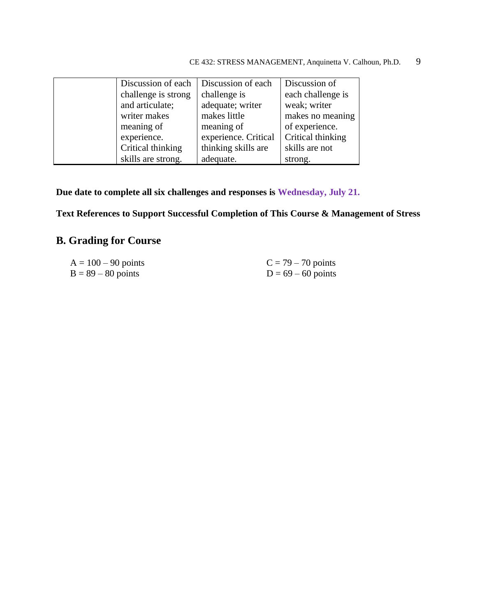| Discussion of each  | Discussion of each   | Discussion of     |
|---------------------|----------------------|-------------------|
| challenge is strong | challenge is         | each challenge is |
| and articulate;     | adequate; writer     | weak; writer      |
| writer makes        | makes little         | makes no meaning  |
| meaning of          | meaning of           | of experience.    |
| experience.         | experience. Critical | Critical thinking |
| Critical thinking   | thinking skills are  | skills are not    |
| skills are strong.  | adequate.            | strong.           |

**Due date to complete all six challenges and responses is Wednesday, July 21.**

**Text References to Support Successful Completion of This Course & Management of Stress**

# **B. Grading for Course**

| $A = 100 - 90$ points | $C = 79 - 70$ points |
|-----------------------|----------------------|
| $B = 89 - 80$ points  | $D = 69 - 60$ points |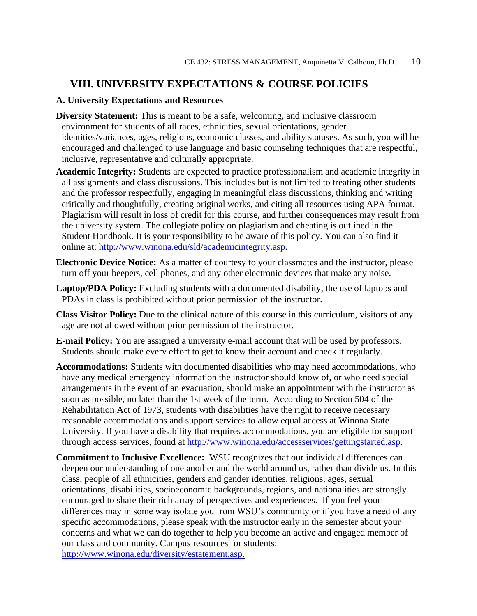## **VIII. UNIVERSITY EXPECTATIONS & COURSE POLICIES**

### **A. University Expectations and Resources**

- **Diversity Statement:** This is meant to be a safe, welcoming, and inclusive classroom environment for students of all races, ethnicities, sexual orientations, gender identities/variances, ages, religions, economic classes, and ability statuses. As such, you will be encouraged and challenged to use language and basic counseling techniques that are respectful, inclusive, representative and culturally appropriate.
- **Academic Integrity:** Students are expected to practice professionalism and academic integrity in all assignments and class discussions. This includes but is not limited to treating other students and the professor respectfully, engaging in meaningful class discussions, thinking and writing critically and thoughtfully, creating original works, and citing all resources using APA format. Plagiarism will result in loss of credit for this course, and further consequences may result from the university system. The collegiate policy on plagiarism and cheating is outlined in the Student Handbook. It is your responsibility to be aware of this policy. You can also find it online at: [http://www.winona.edu/sld/academicintegrity.asp.](http://www.winona.edu/sld/academicintegrity.asp)
- **Electronic Device Notice:** As a matter of courtesy to your classmates and the instructor, please turn off your beepers, cell phones, and any other electronic devices that make any noise.
- **Laptop/PDA Policy:** Excluding students with a documented disability, the use of laptops and PDAs in class is prohibited without prior permission of the instructor.
- **Class Visitor Policy:** Due to the clinical nature of this course in this curriculum, visitors of any age are not allowed without prior permission of the instructor.
- **E-mail Policy:** You are assigned a university e-mail account that will be used by professors. Students should make every effort to get to know their account and check it regularly.
- **Accommodations:** Students with documented disabilities who may need accommodations, who have any medical emergency information the instructor should know of, or who need special arrangements in the event of an evacuation, should make an appointment with the instructor as soon as possible, no later than the 1st week of the term. According to Section 504 of the Rehabilitation Act of 1973, students with disabilities have the right to receive necessary reasonable accommodations and support services to allow equal access at Winona State University. If you have a disability that requires accommodations, you are eligible for support through access services, found at [http://www.winona.edu/accessservices/gettingstarted.asp.](http://www.winona.edu/accessservices/gettingstarted.asp)
- **Commitment to Inclusive Excellence:** WSU recognizes that our individual differences can deepen our understanding of one another and the world around us, rather than divide us. In this class, people of all ethnicities, genders and gender identities, religions, ages, sexual orientations, disabilities, socioeconomic backgrounds, regions, and nationalities are strongly encouraged to share their rich array of perspectives and experiences. If you feel your differences may in some way isolate you from WSU's community or if you have a need of any specific accommodations, please speak with the instructor early in the semester about your concerns and what we can do together to help you become an active and engaged member of our class and community. Campus resources for students: [http://www.winona.edu/diversity/estatement.asp.](http://www.winona.edu/diversity/estatement.asp)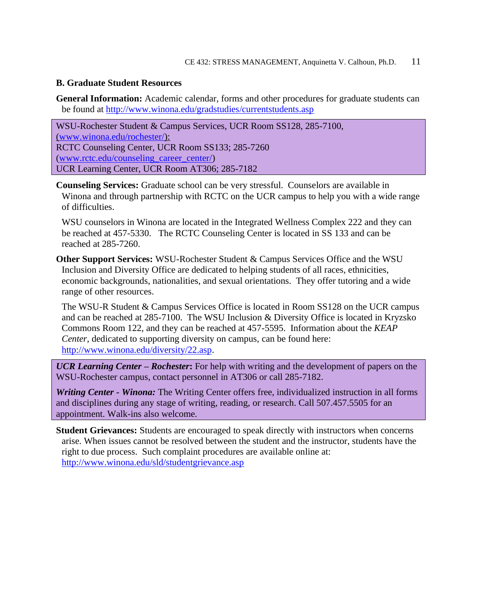### **B. Graduate Student Resources**

**General Information:** Academic calendar, forms and other procedures for graduate students can be found at<http://www.winona.edu/gradstudies/currentstudents.asp>

WSU-Rochester Student & Campus Services, UCR Room SS128, 285-7100, [\(www.winona.edu/rochester/\)](http://www.winona.edu/rochester/): RCTC Counseling Center, UCR Room SS133; 285-7260 [\(www.rctc.edu/counseling\\_career\\_center/\)](http://www.rctc.edu/counseling_career_center/) UCR Learning Center, UCR Room AT306; 285-7182

**Counseling Services:** Graduate school can be very stressful. Counselors are available in Winona and through partnership with RCTC on the UCR campus to help you with a wide range of difficulties.

WSU counselors in Winona are located in the Integrated Wellness Complex 222 and they can be reached at 457-5330. The RCTC Counseling Center is located in SS 133 and can be reached at 285-7260.

**Other Support Services:** WSU-Rochester Student & Campus Services Office and the WSU Inclusion and Diversity Office are dedicated to helping students of all races, ethnicities, economic backgrounds, nationalities, and sexual orientations. They offer tutoring and a wide range of other resources.

The WSU-R Student & Campus Services Office is located in Room SS128 on the UCR campus and can be reached at 285-7100. The WSU Inclusion & Diversity Office is located in Kryzsko Commons Room 122, and they can be reached at 457-5595. Information about the *KEAP Center*, dedicated to supporting diversity on campus, can be found here: [http://www.winona.edu/diversity/22.asp.](http://www.winona.edu/diversity/22.asp)

*UCR Learning Center – Rochester***:** For help with writing and the development of papers on the WSU-Rochester campus, contact personnel in AT306 or call 285-7182.

*Writing Center - Winona:* The Writing Center offers free, individualized instruction in all forms and disciplines during any stage of writing, reading, or research. Call 507.457.5505 for an appointment. Walk-ins also welcome.

**Student Grievances:** Students are encouraged to speak directly with instructors when concerns arise. When issues cannot be resolved between the student and the instructor, students have the right to due process. Such complaint procedures are available online at: <http://www.winona.edu/sld/studentgrievance.asp>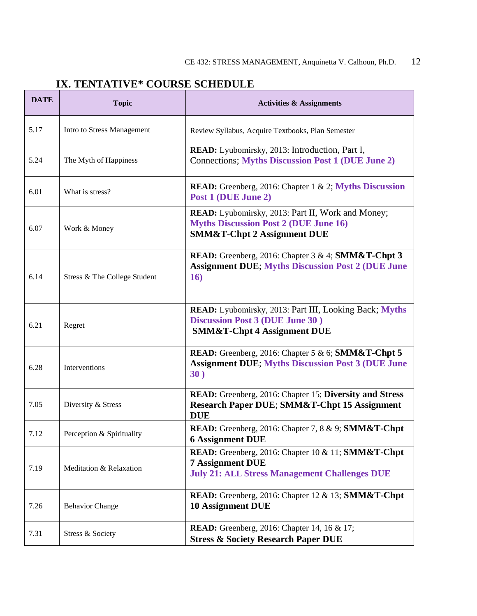# **IX. TENTATIVE\* COURSE SCHEDULE**

| <b>DATE</b> | <b>Topic</b>                 | <b>Activities &amp; Assignments</b>                                                                                                                     |
|-------------|------------------------------|---------------------------------------------------------------------------------------------------------------------------------------------------------|
| 5.17        | Intro to Stress Management   | Review Syllabus, Acquire Textbooks, Plan Semester                                                                                                       |
| 5.24        | The Myth of Happiness        | READ: Lyubomirsky, 2013: Introduction, Part I,<br><b>Connections; Myths Discussion Post 1 (DUE June 2)</b>                                              |
| 6.01        | What is stress?              | <b>READ:</b> Greenberg, 2016: Chapter 1 & 2; Myths Discussion<br>Post 1 (DUE June 2)                                                                    |
| 6.07        | Work & Money                 | READ: Lyubomirsky, 2013: Part II, Work and Money;<br><b>Myths Discussion Post 2 (DUE June 16)</b><br><b>SMM&amp;T-Chpt 2 Assignment DUE</b>             |
| 6.14        | Stress & The College Student | <b>READ:</b> Greenberg, 2016: Chapter 3 & 4; <b>SMM&amp;T-Chpt 3</b><br><b>Assignment DUE; Myths Discussion Post 2 (DUE June</b><br>16)                 |
| 6.21        | Regret                       | READ: Lyubomirsky, 2013: Part III, Looking Back; Myths<br><b>Discussion Post 3 (DUE June 30)</b><br><b>SMM&amp;T-Chpt 4 Assignment DUE</b>              |
| 6.28        | Interventions                | READ: Greenberg, 2016: Chapter 5 & 6; SMM&T-Chpt 5<br><b>Assignment DUE; Myths Discussion Post 3 (DUE June</b><br>30)                                   |
| 7.05        | Diversity & Stress           | READ: Greenberg, 2016: Chapter 15; Diversity and Stress<br><b>Research Paper DUE; SMM&amp;T-Chpt 15 Assignment</b><br><b>DUE</b>                        |
| 7.12        | Perception & Spirituality    | READ: Greenberg, 2016: Chapter 7, 8 & 9; SMM&T-Chpt<br><b>6 Assignment DUE</b>                                                                          |
| 7.19        | Meditation & Relaxation      | <b>READ:</b> Greenberg, 2016: Chapter 10 & 11; <b>SMM&amp;T-Chpt</b><br><b>7 Assignment DUE</b><br><b>July 21: ALL Stress Management Challenges DUE</b> |
| 7.26        | <b>Behavior Change</b>       | <b>READ:</b> Greenberg, 2016: Chapter 12 & 13; <b>SMM&amp;T-Chpt</b><br><b>10 Assignment DUE</b>                                                        |
| 7.31        | Stress & Society             | READ: Greenberg, 2016: Chapter 14, 16 & 17;<br><b>Stress &amp; Society Research Paper DUE</b>                                                           |